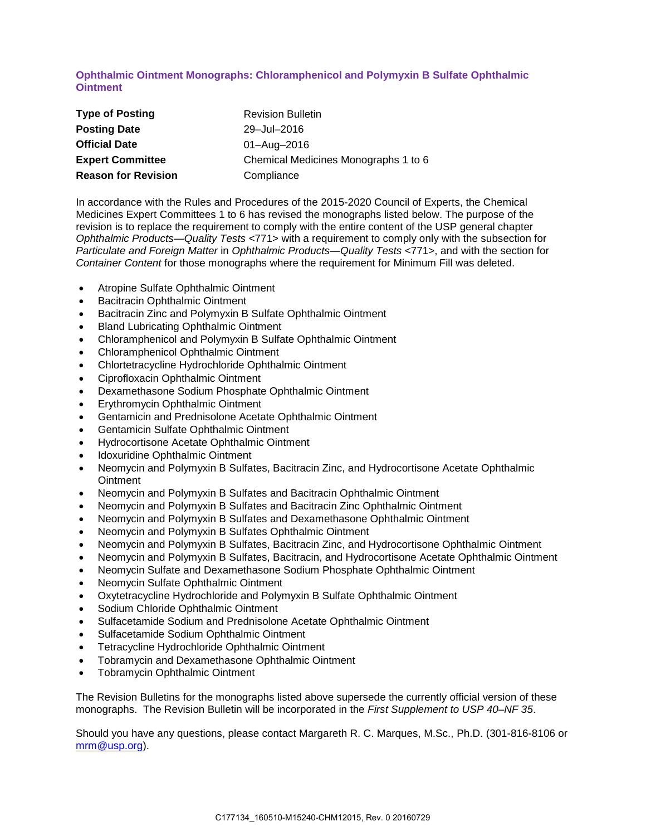## **Ophthalmic Ointment Monographs: Chloramphenicol and Polymyxin B Sulfate Ophthalmic Ointment**

| <b>Type of Posting</b>     | <b>Revision Bulletin</b>             |
|----------------------------|--------------------------------------|
| <b>Posting Date</b>        | 29-Jul-2016                          |
| <b>Official Date</b>       | 01-Aug-2016                          |
| <b>Expert Committee</b>    | Chemical Medicines Monographs 1 to 6 |
| <b>Reason for Revision</b> | Compliance                           |

In accordance with the Rules and Procedures of the 2015-2020 Council of Experts, the Chemical Medicines Expert Committees 1 to 6 has revised the monographs listed below. The purpose of the revision is to replace the requirement to comply with the entire content of the USP general chapter *Ophthalmic Products—Quality Tests* <771> with a requirement to comply only with the subsection for *Particulate and Foreign Matter* in *Ophthalmic Products—Quality Tests* <771>, and with the section for *Container Content* for those monographs where the requirement for Minimum Fill was deleted.

- Atropine Sulfate Ophthalmic Ointment
- Bacitracin Ophthalmic Ointment
- Bacitracin Zinc and Polymyxin B Sulfate Ophthalmic Ointment
- Bland Lubricating Ophthalmic Ointment
- Chloramphenicol and Polymyxin B Sulfate Ophthalmic Ointment
- Chloramphenicol Ophthalmic Ointment
- Chlortetracycline Hydrochloride Ophthalmic Ointment
- Ciprofloxacin Ophthalmic Ointment
- Dexamethasone Sodium Phosphate Ophthalmic Ointment
- Erythromycin Ophthalmic Ointment
- Gentamicin and Prednisolone Acetate Ophthalmic Ointment
- Gentamicin Sulfate Ophthalmic Ointment
- Hydrocortisone Acetate Ophthalmic Ointment
- Idoxuridine Ophthalmic Ointment
- Neomycin and Polymyxin B Sulfates, Bacitracin Zinc, and Hydrocortisone Acetate Ophthalmic **Ointment**
- Neomycin and Polymyxin B Sulfates and Bacitracin Ophthalmic Ointment
- Neomycin and Polymyxin B Sulfates and Bacitracin Zinc Ophthalmic Ointment
- Neomycin and Polymyxin B Sulfates and Dexamethasone Ophthalmic Ointment
- Neomycin and Polymyxin B Sulfates Ophthalmic Ointment
- Neomycin and Polymyxin B Sulfates, Bacitracin Zinc, and Hydrocortisone Ophthalmic Ointment
- Neomycin and Polymyxin B Sulfates, Bacitracin, and Hydrocortisone Acetate Ophthalmic Ointment
- Neomycin Sulfate and Dexamethasone Sodium Phosphate Ophthalmic Ointment
- Neomycin Sulfate Ophthalmic Ointment
- Oxytetracycline Hydrochloride and Polymyxin B Sulfate Ophthalmic Ointment
- Sodium Chloride Ophthalmic Ointment
- Sulfacetamide Sodium and Prednisolone Acetate Ophthalmic Ointment
- Sulfacetamide Sodium Ophthalmic Ointment
- Tetracycline Hydrochloride Ophthalmic Ointment
- Tobramycin and Dexamethasone Ophthalmic Ointment
- Tobramycin Ophthalmic Ointment

The Revision Bulletins for the monographs listed above supersede the currently official version of these monographs. The Revision Bulletin will be incorporated in the *First Supplement to USP 40–NF 35*.

Should you have any questions, please contact Margareth R. C. Marques, M.Sc., Ph.D. (301-816-8106 or [mrm@usp.org\)](mailto:mrm@usp.org).